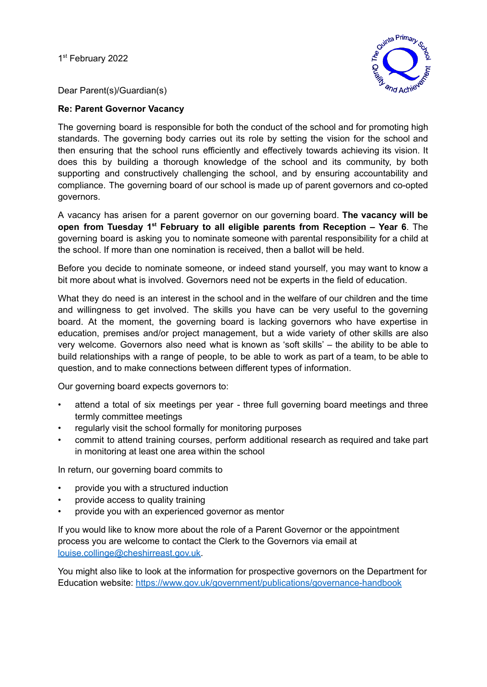1<sup>st</sup> February 2022



Dear Parent(s)/Guardian(s)

#### **Re: Parent Governor Vacancy**

The governing board is responsible for both the conduct of the school and for promoting high standards. The governing body carries out its role by setting the vision for the school and then ensuring that the school runs efficiently and effectively towards achieving its vision. It does this by building a thorough knowledge of the school and its community, by both supporting and constructively challenging the school, and by ensuring accountability and compliance. The governing board of our school is made up of parent governors and co-opted governors.

A vacancy has arisen for a parent governor on our governing board. **The vacancy will be open from Tuesday 1 st February to all eligible parents from Reception – Year 6**. The governing board is asking you to nominate someone with parental responsibility for a child at the school. If more than one nomination is received, then a ballot will be held.

Before you decide to nominate someone, or indeed stand yourself, you may want to know a bit more about what is involved. Governors need not be experts in the field of education.

What they do need is an interest in the school and in the welfare of our children and the time and willingness to get involved. The skills you have can be very useful to the governing board. At the moment, the governing board is lacking governors who have expertise in education, premises and/or project management, but a wide variety of other skills are also very welcome. Governors also need what is known as 'soft skills' – the ability to be able to build relationships with a range of people, to be able to work as part of a team, to be able to question, and to make connections between different types of information.

Our governing board expects governors to:

- attend a total of six meetings per year three full governing board meetings and three termly committee meetings
- regularly visit the school formally for monitoring purposes
- commit to attend training courses, perform additional research as required and take part in monitoring at least one area within the school

In return, our governing board commits to

- provide you with a structured induction
- provide access to quality training
- provide you with an experienced governor as mentor

If you would like to know more about the role of a Parent Governor or the appointment process you are welcome to contact the Clerk to the Governors via email at [louise.collinge@cheshirreast.gov.uk.](mailto:louise.collinge@cheshirreast.gov.uk)

You might also like to look at the information for prospective governors on the Department for Education website: <https://www.gov.uk/government/publications/governance-handbook>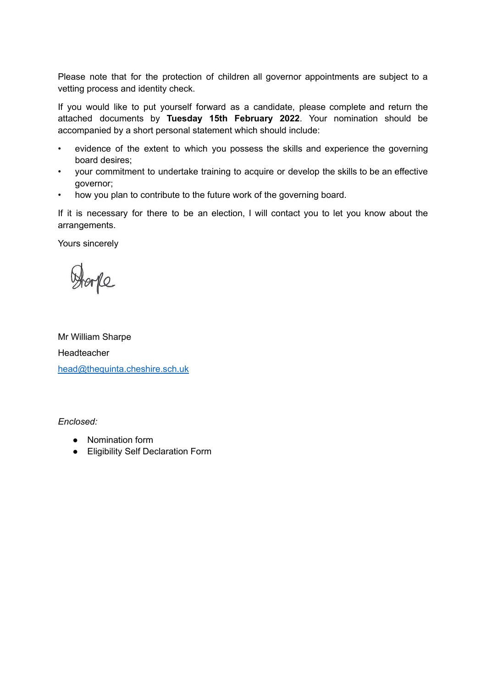Please note that for the protection of children all governor appointments are subject to a vetting process and identity check.

If you would like to put yourself forward as a candidate, please complete and return the attached documents by **Tuesday 15th February 2022**. Your nomination should be accompanied by a short personal statement which should include:

- evidence of the extent to which you possess the skills and experience the governing board desires;
- your commitment to undertake training to acquire or develop the skills to be an effective governor;
- how you plan to contribute to the future work of the governing board.

If it is necessary for there to be an election, I will contact you to let you know about the arrangements.

Yours sincerely

me

Mr William Sharpe Headteacher [head@thequinta.cheshire.sch.uk](mailto:head@thequinta.cheshire.sch.uk)

*Enclosed:*

- Nomination form
- Eligibility Self Declaration Form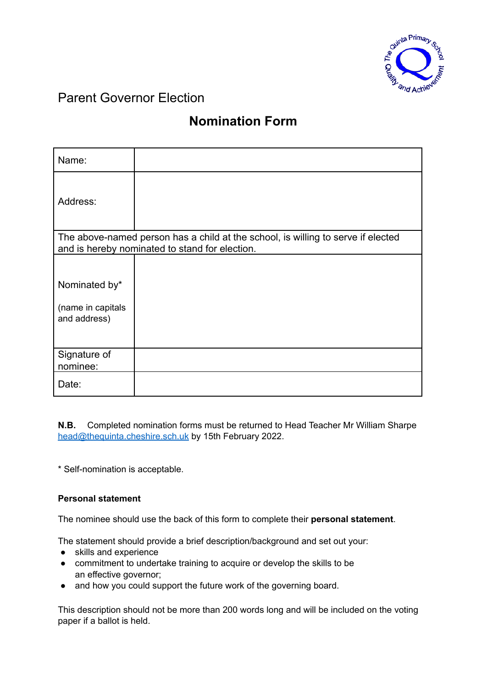

### Parent Governor Election

## **Nomination Form**

| Name:                                                                                                                              |  |  |
|------------------------------------------------------------------------------------------------------------------------------------|--|--|
| Address:                                                                                                                           |  |  |
| The above-named person has a child at the school, is willing to serve if elected<br>and is hereby nominated to stand for election. |  |  |
|                                                                                                                                    |  |  |
| Nominated by*                                                                                                                      |  |  |
| (name in capitals<br>and address)                                                                                                  |  |  |
| Signature of<br>nominee:                                                                                                           |  |  |
| Date:                                                                                                                              |  |  |

**N.B.** Completed nomination forms must be returned to Head Teacher Mr William Sharpe [head@thequinta.cheshire.sch.uk](mailto:head@thequinta.cheshire.sch.uk) by 15th February 2022.

\* Self-nomination is acceptable.

#### **Personal statement**

The nominee should use the back of this form to complete their **personal statement**.

The statement should provide a brief description/background and set out your:

- skills and experience
- commitment to undertake training to acquire or develop the skills to be an effective governor;
- and how you could support the future work of the governing board.

This description should not be more than 200 words long and will be included on the voting paper if a ballot is held.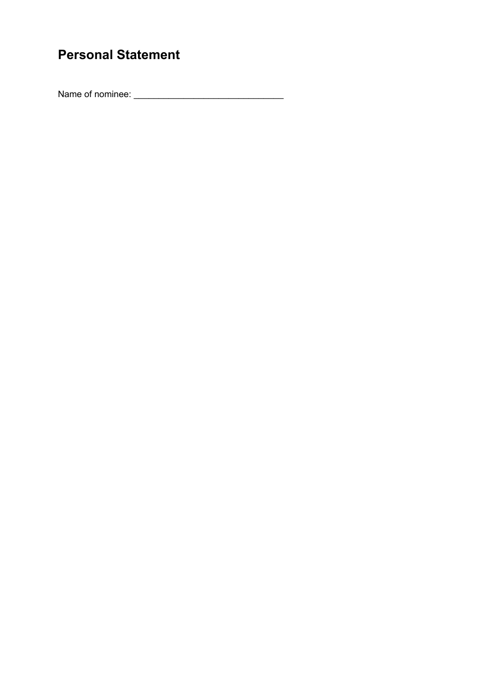# **Personal Statement**

Name of nominee: \_\_\_\_\_\_\_\_\_\_\_\_\_\_\_\_\_\_\_\_\_\_\_\_\_\_\_\_\_\_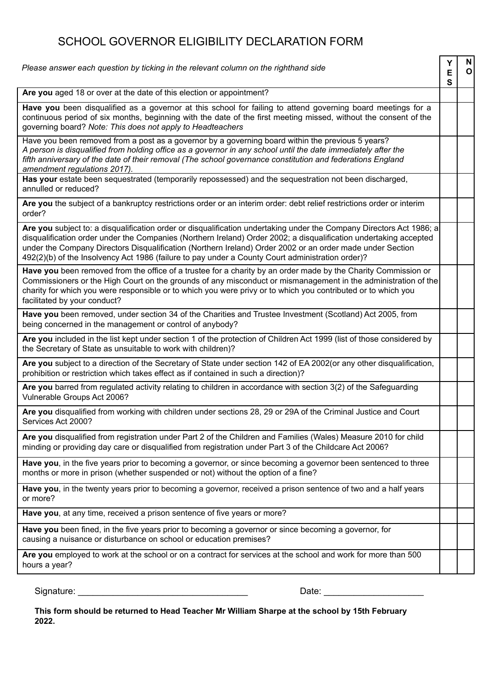### SCHOOL GOVERNOR ELIGIBILITY DECLARATION FORM

| Please answer each question by ticking in the relevant column on the righthand side                                                                                                                                                                                                                                                                                                                                                                        |  | $\mathsf{N}$<br> 0 |
|------------------------------------------------------------------------------------------------------------------------------------------------------------------------------------------------------------------------------------------------------------------------------------------------------------------------------------------------------------------------------------------------------------------------------------------------------------|--|--------------------|
| Are you aged 18 or over at the date of this election or appointment?                                                                                                                                                                                                                                                                                                                                                                                       |  |                    |
| Have you been disqualified as a governor at this school for failing to attend governing board meetings for a<br>continuous period of six months, beginning with the date of the first meeting missed, without the consent of the<br>governing board? Note: This does not apply to Headteachers                                                                                                                                                             |  |                    |
| Have you been removed from a post as a governor by a governing board within the previous 5 years?<br>A person is disqualified from holding office as a governor in any school until the date immediately after the<br>fifth anniversary of the date of their removal (The school governance constitution and federations England<br>amendment regulations 2017).                                                                                           |  |                    |
| Has your estate been sequestrated (temporarily repossessed) and the sequestration not been discharged,<br>annulled or reduced?                                                                                                                                                                                                                                                                                                                             |  |                    |
| Are you the subject of a bankruptcy restrictions order or an interim order: debt relief restrictions order or interim<br>order?                                                                                                                                                                                                                                                                                                                            |  |                    |
| Are you subject to: a disqualification order or disqualification undertaking under the Company Directors Act 1986; a<br>disqualification order under the Companies (Northern Ireland) Order 2002; a disqualification undertaking accepted<br>under the Company Directors Disqualification (Northern Ireland) Order 2002 or an order made under Section<br>492(2)(b) of the Insolvency Act 1986 (failure to pay under a County Court administration order)? |  |                    |
| Have you been removed from the office of a trustee for a charity by an order made by the Charity Commission or<br>Commissioners or the High Court on the grounds of any misconduct or mismanagement in the administration of the<br>charity for which you were responsible or to which you were privy or to which you contributed or to which you<br>facilitated by your conduct?                                                                          |  |                    |
| Have you been removed, under section 34 of the Charities and Trustee Investment (Scotland) Act 2005, from<br>being concerned in the management or control of anybody?                                                                                                                                                                                                                                                                                      |  |                    |
| Are you included in the list kept under section 1 of the protection of Children Act 1999 (list of those considered by<br>the Secretary of State as unsuitable to work with children)?                                                                                                                                                                                                                                                                      |  |                    |
| Are you subject to a direction of the Secretary of State under section 142 of EA 2002(or any other disqualification,<br>prohibition or restriction which takes effect as if contained in such a direction)?                                                                                                                                                                                                                                                |  |                    |
| Are you barred from regulated activity relating to children in accordance with section 3(2) of the Safeguarding<br>Vulnerable Groups Act 2006?                                                                                                                                                                                                                                                                                                             |  |                    |
| Are you disqualified from working with children under sections 28, 29 or 29A of the Criminal Justice and Court<br>Services Act 2000?                                                                                                                                                                                                                                                                                                                       |  |                    |
| Are you disqualified from registration under Part 2 of the Children and Families (Wales) Measure 2010 for child<br>minding or providing day care or disqualified from registration under Part 3 of the Childcare Act 2006?                                                                                                                                                                                                                                 |  |                    |
| Have you, in the five years prior to becoming a governor, or since becoming a governor been sentenced to three<br>months or more in prison (whether suspended or not) without the option of a fine?                                                                                                                                                                                                                                                        |  |                    |
| Have you, in the twenty years prior to becoming a governor, received a prison sentence of two and a half years<br>or more?                                                                                                                                                                                                                                                                                                                                 |  |                    |
| Have you, at any time, received a prison sentence of five years or more?                                                                                                                                                                                                                                                                                                                                                                                   |  |                    |
| Have you been fined, in the five years prior to becoming a governor or since becoming a governor, for<br>causing a nuisance or disturbance on school or education premises?                                                                                                                                                                                                                                                                                |  |                    |
| Are you employed to work at the school or on a contract for services at the school and work for more than 500<br>hours a year?                                                                                                                                                                                                                                                                                                                             |  |                    |
| Signature:<br>Date:                                                                                                                                                                                                                                                                                                                                                                                                                                        |  |                    |

**This form should be returned to Head Teacher Mr William Sharpe at the school by 15th February 2022.**